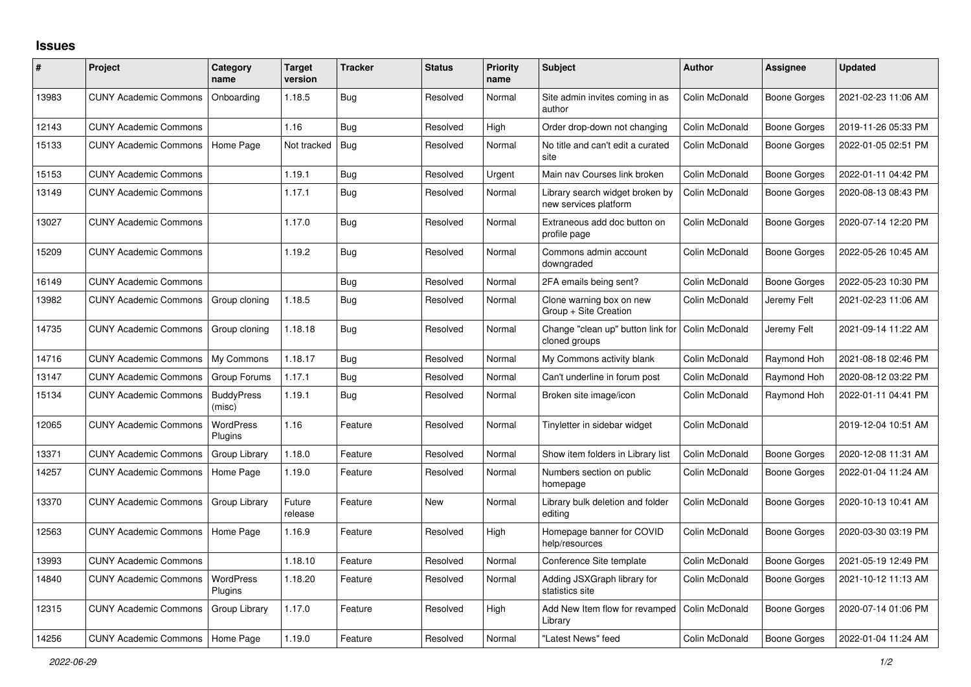## **Issues**

| #     | Project                      | Category<br>name            | <b>Target</b><br>version | <b>Tracker</b> | <b>Status</b> | <b>Priority</b><br>name | <b>Subject</b>                                           | <b>Author</b>  | Assignee            | <b>Updated</b>      |
|-------|------------------------------|-----------------------------|--------------------------|----------------|---------------|-------------------------|----------------------------------------------------------|----------------|---------------------|---------------------|
| 13983 | <b>CUNY Academic Commons</b> | Onboarding                  | 1.18.5                   | Bug            | Resolved      | Normal                  | Site admin invites coming in as<br>author                | Colin McDonald | Boone Gorges        | 2021-02-23 11:06 AM |
| 12143 | <b>CUNY Academic Commons</b> |                             | 1.16                     | Bug            | Resolved      | High                    | Order drop-down not changing                             | Colin McDonald | <b>Boone Gorges</b> | 2019-11-26 05:33 PM |
| 15133 | <b>CUNY Academic Commons</b> | Home Page                   | Not tracked              | Bug            | Resolved      | Normal                  | No title and can't edit a curated<br>site                | Colin McDonald | <b>Boone Gorges</b> | 2022-01-05 02:51 PM |
| 15153 | <b>CUNY Academic Commons</b> |                             | 1.19.1                   | <b>Bug</b>     | Resolved      | Urgent                  | Main nav Courses link broken                             | Colin McDonald | Boone Gorges        | 2022-01-11 04:42 PM |
| 13149 | <b>CUNY Academic Commons</b> |                             | 1.17.1                   | Bug            | Resolved      | Normal                  | Library search widget broken by<br>new services platform | Colin McDonald | Boone Gorges        | 2020-08-13 08:43 PM |
| 13027 | <b>CUNY Academic Commons</b> |                             | 1.17.0                   | Bug            | Resolved      | Normal                  | Extraneous add doc button on<br>profile page             | Colin McDonald | Boone Gorges        | 2020-07-14 12:20 PM |
| 15209 | <b>CUNY Academic Commons</b> |                             | 1.19.2                   | Bug            | Resolved      | Normal                  | Commons admin account<br>downgraded                      | Colin McDonald | Boone Gorges        | 2022-05-26 10:45 AM |
| 16149 | <b>CUNY Academic Commons</b> |                             |                          | <b>Bug</b>     | Resolved      | Normal                  | 2FA emails being sent?                                   | Colin McDonald | <b>Boone Gorges</b> | 2022-05-23 10:30 PM |
| 13982 | <b>CUNY Academic Commons</b> | Group cloning               | 1.18.5                   | Bug            | Resolved      | Normal                  | Clone warning box on new<br>Group + Site Creation        | Colin McDonald | Jeremy Felt         | 2021-02-23 11:06 AM |
| 14735 | <b>CUNY Academic Commons</b> | Group cloning               | 1.18.18                  | Bug            | Resolved      | Normal                  | Change "clean up" button link for<br>cloned groups       | Colin McDonald | Jeremy Felt         | 2021-09-14 11:22 AM |
| 14716 | <b>CUNY Academic Commons</b> | My Commons                  | 1.18.17                  | Bug            | Resolved      | Normal                  | My Commons activity blank                                | Colin McDonald | Raymond Hoh         | 2021-08-18 02:46 PM |
| 13147 | <b>CUNY Academic Commons</b> | Group Forums                | 1.17.1                   | Bug            | Resolved      | Normal                  | Can't underline in forum post                            | Colin McDonald | Raymond Hoh         | 2020-08-12 03:22 PM |
| 15134 | <b>CUNY Academic Commons</b> | <b>BuddyPress</b><br>(misc) | 1.19.1                   | Bug            | Resolved      | Normal                  | Broken site image/icon                                   | Colin McDonald | Raymond Hoh         | 2022-01-11 04:41 PM |
| 12065 | <b>CUNY Academic Commons</b> | <b>WordPress</b><br>Plugins | 1.16                     | Feature        | Resolved      | Normal                  | Tinyletter in sidebar widget                             | Colin McDonald |                     | 2019-12-04 10:51 AM |
| 13371 | <b>CUNY Academic Commons</b> | Group Library               | 1.18.0                   | Feature        | Resolved      | Normal                  | Show item folders in Library list                        | Colin McDonald | Boone Gorges        | 2020-12-08 11:31 AM |
| 14257 | <b>CUNY Academic Commons</b> | Home Page                   | 1.19.0                   | Feature        | Resolved      | Normal                  | Numbers section on public<br>homepage                    | Colin McDonald | Boone Gorges        | 2022-01-04 11:24 AM |
| 13370 | <b>CUNY Academic Commons</b> | Group Library               | Future<br>release        | Feature        | New           | Normal                  | Library bulk deletion and folder<br>editing              | Colin McDonald | <b>Boone Gorges</b> | 2020-10-13 10:41 AM |
| 12563 | <b>CUNY Academic Commons</b> | Home Page                   | 1.16.9                   | Feature        | Resolved      | High                    | Homepage banner for COVID<br>help/resources              | Colin McDonald | Boone Gorges        | 2020-03-30 03:19 PM |
| 13993 | <b>CUNY Academic Commons</b> |                             | 1.18.10                  | Feature        | Resolved      | Normal                  | Conference Site template                                 | Colin McDonald | Boone Gorges        | 2021-05-19 12:49 PM |
| 14840 | <b>CUNY Academic Commons</b> | WordPress<br><b>Plugins</b> | 1.18.20                  | Feature        | Resolved      | Normal                  | Adding JSXGraph library for<br>statistics site           | Colin McDonald | Boone Gorges        | 2021-10-12 11:13 AM |
| 12315 | <b>CUNY Academic Commons</b> | Group Library               | 1.17.0                   | Feature        | Resolved      | High                    | Add New Item flow for revamped<br>Library                | Colin McDonald | Boone Gorges        | 2020-07-14 01:06 PM |
| 14256 | <b>CUNY Academic Commons</b> | Home Page                   | 1.19.0                   | Feature        | Resolved      | Normal                  | "Latest News" feed                                       | Colin McDonald | Boone Gorges        | 2022-01-04 11:24 AM |